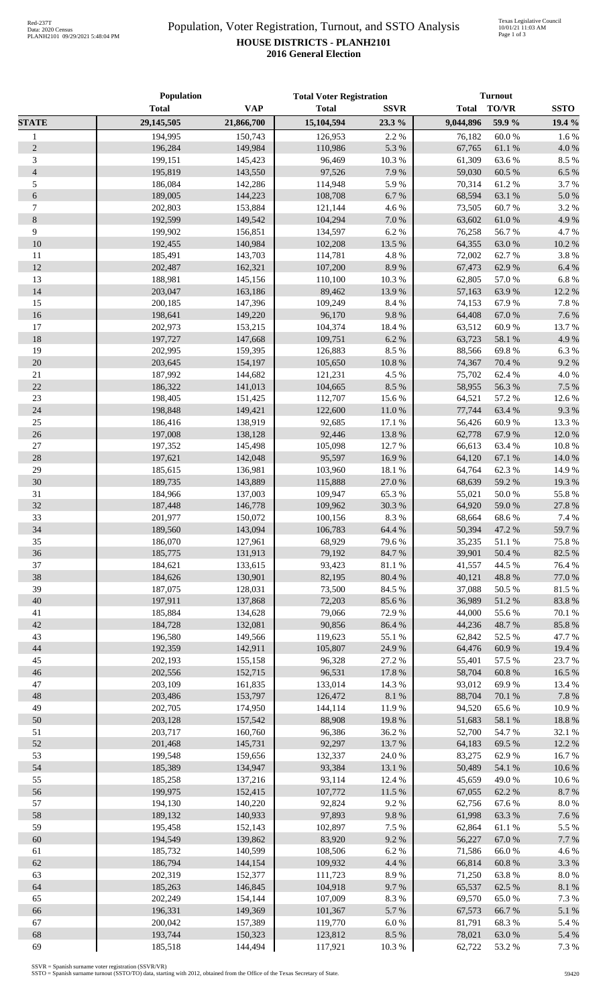## Population, Voter Registration, Turnout, and SSTO Analysis **HOUSE DISTRICTS - PLANH2101 2016 General Election**

|                  | Population         |                    | <b>Total Voter Registration</b> |                  | <b>Turnout</b>   |                  |                 |
|------------------|--------------------|--------------------|---------------------------------|------------------|------------------|------------------|-----------------|
|                  | <b>Total</b>       | <b>VAP</b>         | <b>Total</b>                    | <b>SSVR</b>      | <b>Total</b>     | TO/VR            | <b>SSTO</b>     |
| <b>STATE</b>     | 29,145,505         | 21,866,700         | 15,104,594                      | 23.3%            | 9,044,896        | 59.9%            | 19.4 %          |
| $\mathbf{1}$     | 194,995            | 150,743            | 126,953                         | 2.2 %            | 76,182           | 60.0%            | 1.6%            |
| $\overline{2}$   | 196,284            | 149,984            | 110,986                         | 5.3 %            | 67,765           | 61.1%            | $4.0\ \%$       |
| $\mathfrak{Z}$   | 199,151            | 145,423            | 96,469                          | 10.3 %           | 61,309           | 63.6%            | 8.5 %           |
| $\overline{4}$   | 195,819            | 143,550            | 97,526                          | 7.9%             | 59,030           | 60.5 %           | 6.5 %           |
| 5                | 186,084            | 142,286            | 114,948                         | 5.9%             | 70,314           | 61.2%            | 3.7%            |
| 6                | 189,005            | 144,223            | 108,708                         | 6.7%             | 68,594           | 63.1 %           | 5.0%            |
| $\boldsymbol{7}$ | 202,803            | 153,884            | 121,144                         | 4.6%             | 73,505           | 60.7%            | 3.2 %           |
| $8\,$            | 192,599            | 149,542            | 104,294                         | $7.0\ \%$        | 63,602           | 61.0%            | 4.9%            |
| 9                | 199,902            | 156,851            | 134,597                         | 6.2%             | 76,258           | 56.7%            | 4.7%            |
| 10               | 192,455            | 140,984            | 102,208                         | 13.5 %           | 64,355           | 63.0%            | 10.2 %          |
| 11               | 185,491            | 143,703            | 114,781                         | 4.8 %            | 72,002           | 62.7%            | 3.8%            |
| 12               | 202,487            | 162,321            | 107,200                         | 8.9%             | 67,473           | 62.9%            | 6.4 %           |
| 13               | 188,981            | 145,156            | 110,100                         | 10.3%            | 62,805           | 57.0%            | 6.8%            |
| 14               | 203,047            | 163,186            | 89,462                          | 13.9%            | 57,163           | 63.9%            | 12.2 %          |
| 15               | 200,185            | 147,396            | 109,249                         | 8.4 %            | 74,153           | 67.9%            | 7.8 %           |
| 16               | 198,641            | 149,220            | 96,170                          | $9.8\ \%$        | 64,408           | 67.0 %           | 7.6 %           |
| 17               | 202,973            | 153,215            | 104,374                         | 18.4 %           | 63,512           | 60.9%            | 13.7%           |
| $18\,$           | 197,727            | 147,668            | 109,751                         | $6.2~\%$         | 63,723           | 58.1%            | 4.9%            |
| 19               | 202,995            | 159,395            | 126,883                         | 8.5%             | 88,566           | 69.8%            | 6.3%            |
| $20\,$           | 203,645            | 154,197            | 105,650                         | $10.8~\%$        | 74,367           | 70.4 %           | 9.2%            |
| $21\,$           | 187,992            | 144,682            | 121,231                         | 4.5 %            | 75,702           | 62.4%            | 4.0%            |
| 22               | 186,322            | 141,013            | 104,665                         | $8.5\ \%$        | 58,955           | 56.3 %           | 7.5 %           |
| $23\,$           | 198,405            | 151,425            | 112,707                         | 15.6 %           | 64,521           | 57.2 %           | 12.6%           |
| 24               | 198,848            | 149,421            | 122,600                         | $11.0\ \%$       | 77,744           | 63.4%            | 9.3%            |
| 25               | 186,416            | 138,919            | 92,685                          | 17.1 %           | 56,426           | 60.9%            | 13.3 %          |
| $26\,$           | 197,008            | 138,128            | 92,446                          | 13.8 %           | 62,778           | 67.9%            | 12.0%           |
| $27\,$           | 197,352            | 145,498            | 105,098                         | 12.7 %           | 66,613           | 63.4 %           | 10.8 %          |
| $28\,$           | 197,621            | 142,048            | 95,597                          | 16.9%            | 64,120           | 67.1 %           | $14.0\ \%$      |
| 29               | 185,615            | 136,981            | 103,960                         | 18.1%            | 64,764           | 62.3%            | 14.9%           |
| 30               | 189,735            | 143,889            | 115,888                         | $27.0\ \%$       | 68,639           | 59.2%            | 19.3 %          |
| 31<br>32         | 184,966            | 137,003<br>146,778 | 109,947                         | 65.3%<br>30.3 %  | 55,021           | 50.0%            | 55.8%           |
|                  | 187,448<br>201,977 |                    | 109,962                         | 8.3 %            | 64,920           | 59.0%            | 27.8 %<br>7.4 % |
| 33<br>34         | 189,560            | 150,072<br>143,094 | 100,156<br>106,783              | 64.4 %           | 68,664<br>50,394 | 68.6%<br>47.2 %  | 59.7%           |
| 35               | 186,070            | 127,961            | 68,929                          | 79.6%            | 35,235           | $51.1\text{ }\%$ | 75.8 %          |
| 36               | 185,775            | 131,913            | 79,192                          | 84.7%            | 39,901           | 50.4 %           | 82.5 %          |
| 37               | 184,621            | 133,615            | 93,423                          | $81.1\text{ }\%$ | 41,557           | 44.5 %           | 76.4 %          |
| 38               | 184,626            | 130,901            | 82,195                          | 80.4 %           | 40,121           | 48.8%            | 77.0 %          |
| 39               | 187,075            | 128,031            | 73,500                          | 84.5 %           | 37,088           | 50.5 %           | 81.5%           |
| 40               | 197,911            | 137,868            | 72,203                          | 85.6%            | 36,989           | 51.2%            | 83.8%           |
| 41               | 185,884            | 134,628            | 79,066                          | 72.9%            | 44,000           | 55.6%            | 70.1 %          |
| 42               | 184,728            | 132,081            | 90,856                          | 86.4%            | 44,236           | 48.7%            | 85.8%           |
| 43               | 196,580            | 149,566            | 119,623                         | 55.1 %           | 62,842           | 52.5 %           | 47.7%           |
| 44               | 192,359            | 142,911            | 105,807                         | 24.9%            | 64,476           | 60.9%            | 19.4 %          |
| 45               | 202,193            | 155,158            | 96,328                          | 27.2 %           | 55,401           | 57.5 %           | 23.7%           |
| 46               | 202,556            | 152,715            | 96,531                          | 17.8 %           | 58,704           | 60.8%            | 16.5 %          |
| 47               | 203,109            | 161,835            | 133,014                         | 14.3 %           | 93,012           | 69.9%            | 13.4 %          |
| 48               | 203,486            | 153,797            | 126,472                         | $8.1~\%$         | 88,704           | 70.1 %           | 7.8 %           |
| 49               | 202,705            | 174,950            | 144,114                         | 11.9%            | 94,520           | 65.6%            | 10.9%           |
| 50               | 203,128            | 157,542            | 88,908                          | 19.8%            | 51,683           | 58.1 %           | 18.8 %          |
| 51               | 203,717            | 160,760            | 96,386                          | 36.2%            | 52,700           | 54.7 %           | 32.1 %          |
| 52               | 201,468            | 145,731            | 92,297                          | 13.7%            | 64,183           | 69.5 %           | 12.2 %          |
| 53               | 199,548            | 159,656            | 132,337                         | 24.0%            | 83,275           | 62.9%            | 16.7%           |
| 54               | 185,389            | 134,947            | 93,384                          | 13.1 %           | 50,489           | 54.1 %           | 10.6%           |
| 55               | 185,258            | 137,216            | 93,114                          | 12.4 %           | 45,659           | 49.0%            | 10.6 %          |
| 56               | 199,975            | 152,415            | 107,772                         | 11.5 %           | 67,055           | 62.2 %           | 8.7%            |
| 57               | 194,130            | 140,220            | 92,824                          | 9.2%             | 62,756           | 67.6%            | $8.0\ \%$       |
| 58               | 189,132            | 140,933            | 97,893                          | 9.8%             | 61,998           | 63.3%            | 7.6%            |
| 59               | 195,458            | 152,143            | 102,897                         | 7.5 %            | 62,864           | 61.1%            | 5.5 %           |
| 60               | 194,549            | 139,862            | 83,920                          | 9.2 %            | 56,227           | 67.0%            | 7.7 %           |
| 61               | 185,732            | 140,599            | 108,506                         | 6.2%             | 71,586           | 66.0%            | 4.6 %           |
| 62               | 186,794            | 144,154            | 109,932                         | 4.4 %            | 66,814           | 60.8%            | 3.3%            |
| 63               | 202,319            | 152,377            | 111,723                         | 8.9%             | 71,250           | 63.8%            | $8.0\ \%$       |
| 64               | 185,263            | 146,845            | 104,918                         | 9.7%             | 65,537           | 62.5 %           | $8.1~\%$        |
| 65               | 202,249            | 154,144            | 107,009                         | 8.3 %            | 69,570           | 65.0%            | 7.3 %           |
| 66               | 196,331            | 149,369            | 101,367                         | 5.7 %            | 67,573           | 66.7%            | 5.1 %           |
| 67               | 200,042            | 157,389            | 119,770                         | $6.0~\%$         | 81,791           | 68.3%            | 5.4 %           |
| 68               | 193,744            | 150,323            | 123,812                         | 8.5 %            | 78,021           | 63.0%            | 5.4 %           |
| 69               | 185,518            | 144,494            | 117,921                         | 10.3%            | 62,722           | 53.2%            | 7.3 %           |

SSVR = Spanish surname voter registration (SSVR/VR) SSTO = Spanish surname turnout (SSTO/TO) data, starting with 2012, obtained from the Office of the Texas Secretary of State.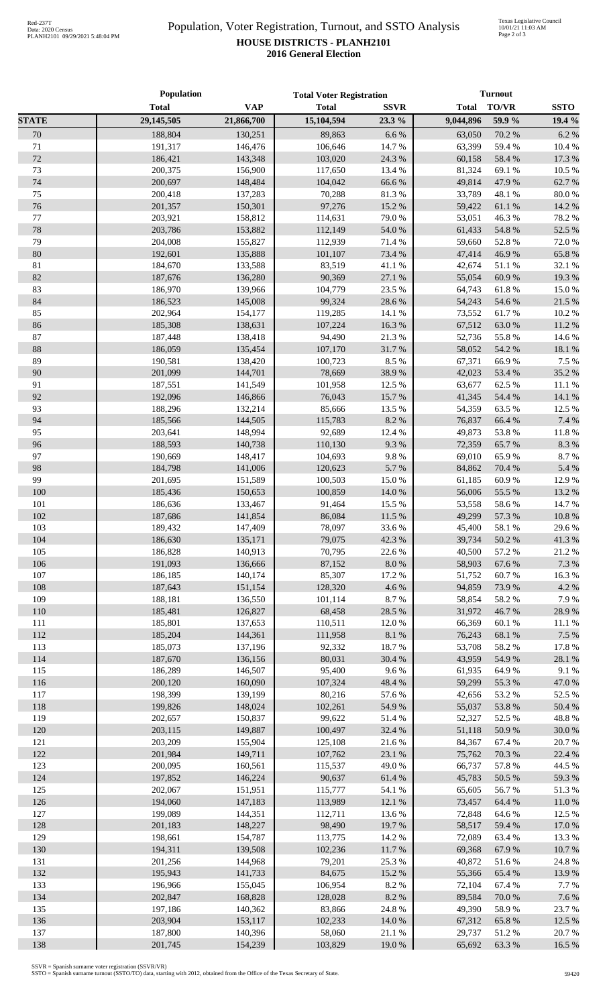## Population, Voter Registration, Turnout, and SSTO Analysis **HOUSE DISTRICTS - PLANH2101 2016 General Election**

|              | Population         |                    | <b>Total Voter Registration</b> |                 | <b>Turnout</b>   |                  |                 |  |
|--------------|--------------------|--------------------|---------------------------------|-----------------|------------------|------------------|-----------------|--|
|              | <b>Total</b>       | <b>VAP</b>         | <b>Total</b>                    | <b>SSVR</b>     | <b>Total</b>     | <b>TO/VR</b>     | <b>SSTO</b>     |  |
| <b>STATE</b> | 29,145,505         | 21,866,700         | 15,104,594                      | 23.3 %          | 9,044,896        | 59.9 %           | 19.4 %          |  |
| 70           | 188,804            | 130,251            | 89,863                          | 6.6%            | 63,050           | 70.2 %           | 6.2%            |  |
| 71           | 191,317            | 146,476            | 106,646                         | 14.7%           | 63,399           | 59.4%            | 10.4 %          |  |
| 72           | 186,421            | 143,348            | 103,020                         | 24.3 %          | 60,158           | 58.4 %           | 17.3 %          |  |
| 73           | 200,375            | 156,900            | 117,650                         | 13.4 %          | 81,324           | 69.1 %           | 10.5 %          |  |
| 74           | 200,697            | 148,484            | 104,042                         | 66.6%           | 49,814           | 47.9%            | 62.7 %          |  |
| 75           | 200,418            | 137,283            | 70,288                          | 81.3%           | 33,789           | 48.1 %           | 80.0%           |  |
| 76           | 201,357            | 150,301            | 97,276                          | 15.2 %          | 59,422           | 61.1%            | 14.2 %          |  |
| 77           | 203,921            | 158,812            | 114,631                         | 79.0%           | 53,051           | 46.3%            | 78.2 %          |  |
| 78           | 203,786            | 153,882            | 112,149                         | 54.0 %          | 61,433           | 54.8%            | 52.5 %          |  |
| 79           | 204,008            | 155,827            | 112,939                         | 71.4 %          | 59,660           | 52.8%            | 72.0%           |  |
| 80           | 192,601            | 135,888            | 101,107                         | 73.4 %          | 47,414           | 46.9%            | 65.8%           |  |
| 81           | 184,670            | 133,588            | 83,519                          | 41.1%           | 42,674           | 51.1%            | 32.1 %          |  |
| 82           | 187,676            | 136,280            | 90,369                          | 27.1 %          | 55,054           | 60.9%            | 19.3 %          |  |
| 83           | 186,970            | 139,966            | 104,779                         | 23.5 %          | 64,743           | 61.8%            | 15.0%           |  |
| 84           | 186,523            | 145,008            | 99,324                          | 28.6%           | 54,243           | 54.6 %           | 21.5 %          |  |
| 85           | 202,964            | 154,177            | 119,285                         | 14.1 %          | 73,552           | 61.7%            | 10.2%           |  |
| 86           | 185,308            | 138,631            | 107,224                         | 16.3%           | 67,512           | 63.0%            | 11.2%           |  |
| 87<br>88     | 187,448            | 138,418            | 94,490                          | 21.3%           | 52,736           | 55.8%            | 14.6 %          |  |
| 89           | 186,059            | 135,454            | 107,170                         | 31.7%           | 58,052           | 54.2 %           | 18.1%<br>7.5 %  |  |
| 90           | 190,581<br>201,099 | 138,420<br>144,701 | 100,723<br>78,669               | 8.5 %<br>38.9%  | 67,371           | 66.9%            | 35.2%           |  |
| 91           | 187,551            | 141,549            | 101,958                         | 12.5 %          | 42,023<br>63,677 | 53.4 %<br>62.5 % | 11.1 %          |  |
| 92           | 192,096            | 146,866            | 76,043                          | 15.7%           | 41,345           | 54.4 %           | 14.1 %          |  |
| 93           | 188,296            | 132,214            | 85,666                          | 13.5 %          | 54,359           | 63.5%            | 12.5 %          |  |
| 94           | 185,566            | 144,505            | 115,783                         | 8.2%            | 76,837           | 66.4 %           | 7.4 %           |  |
| 95           | 203,641            | 148,994            | 92,689                          | 12.4 %          | 49,873           | 53.8%            | 11.8%           |  |
| 96           | 188,593            | 140,738            | 110,130                         | 9.3%            | 72,359           | 65.7%            | 8.3%            |  |
| 97           | 190,669            | 148,417            | 104,693                         | 9.8%            | 69,010           | 65.9%            | 8.7%            |  |
| 98           | 184,798            | 141,006            | 120,623                         | 5.7%            | 84,862           | 70.4 %           | 5.4 %           |  |
| 99           | 201,695            | 151,589            | 100,503                         | 15.0%           | 61,185           | 60.9%            | 12.9%           |  |
| 100          | 185,436            | 150,653            | 100,859                         | 14.0 %          | 56,006           | 55.5 %           | 13.2 %          |  |
| 101          | 186,636            | 133,467            | 91,464                          | 15.5 %          | 53,558           | 58.6%            | 14.7%           |  |
| 102          | 187,686            | 141,854            | 86,084                          | 11.5 %          | 49,299           | 57.3%            | 10.8 %          |  |
| 103          | 189,432            | 147,409            | 78,097                          | 33.6%           | 45,400           | 58.1 %           | 29.6%           |  |
| 104          | 186,630            | 135,171            | 79,075                          | 42.3%           |                  | 39,734 50.2 %    | 41.3%           |  |
| 105          | 186,828            | 140,913            | 70,795                          | 22.6 %          | 40,500           | 57.2 %           | 21.2%           |  |
| 106          | 191,093            | 136,666            | 87,152                          | $8.0\ \%$       | 58,903           | 67.6%            | 7.3 %           |  |
| 107          | 186,185            | 140,174            | 85,307                          | 17.2 %          | 51,752           | 60.7%            | 16.3%           |  |
| 108          | 187,643            | 151,154            | 128,320                         | 4.6%            | 94,859           | 73.9%            | 4.2 %           |  |
| 109          | 188,181            | 136,550            | 101,114                         | 8.7 %           | 58,854           | 58.2 %           | 7.9%            |  |
| 110          | 185,481            | 126,827            | 68,458                          | 28.5 %          | 31,972           | 46.7%            | 28.9%           |  |
| 111          | 185,801            | 137,653            | 110,511                         | 12.0%           | 66,369           | 60.1%            | 11.1 %          |  |
| 112          | 185,204            | 144,361            | 111,958                         | $8.1~\%$        | 76,243           | 68.1 %           | 7.5 %           |  |
| 113          | 185,073            | 137,196            | 92,332                          | 18.7%           | 53,708           | 58.2%            | 17.8 %          |  |
| 114          | 187,670            | 136,156            | 80,031                          | 30.4 %          | 43,959           | 54.9%            | 28.1 %          |  |
| 115          | 186,289            | 146,507            | 95,400                          | 9.6%            | 61,935           | 64.9%            | 9.1%            |  |
| 116          | 200,120            | 160,090            | 107,324                         | 48.4 %          | 59,299           | 55.3%            | 47.0%           |  |
| 117          | 198,399            | 139,199            | 80,216                          | 57.6 %          | 42,656           | 53.2 %           | 52.5 %          |  |
| 118          | 199,826            | 148,024            | 102,261                         | 54.9%           | 55,037           | 53.8%            | 50.4 %          |  |
| 119          | 202,657            | 150,837            | 99,622                          | 51.4%           | 52,327           | 52.5 %           | 48.8%           |  |
| 120          | 203,115            | 149,887            | 100,497                         | 32.4 %          | 51,118           | 50.9%            | 30.0%           |  |
| 121          | 203,209            | 155,904            | 125,108                         | 21.6%           | 84,367           | 67.4 %           | 20.7%           |  |
| 122          | 201,984            | 149,711            | 107,762                         | 23.1 %          | 75,762           | 70.3 %           | 22.4 %          |  |
| 123          | 200,095            | 160,561            | 115,537                         | 49.0%           | 66,737           | 57.8 %           | 44.5 %          |  |
| 124          | 197,852            | 146,224            | 90,637                          | 61.4%           | 45,783           | 50.5 %           | 59.3 %          |  |
| 125<br>126   | 202,067            | 151,951            | 115,777                         | 54.1 %          | 65,605           | 56.7%            | 51.3%           |  |
| 127          | 194,060<br>199,089 | 147,183            | 113,989                         | 12.1 %          | 73,457           | 64.4 %           | 11.0%           |  |
| 128          |                    | 144,351            | 112,711                         | 13.6 %          | 72,848           | 64.6%            | 12.5 %          |  |
| 129          | 201,183<br>198,661 | 148,227<br>154,787 | 98,490<br>113,775               | 19.7%<br>14.2 % | 58,517<br>72,089 | 59.4 %<br>63.4 % | 17.0%<br>13.3 % |  |
| 130          | 194,311            | 139,508            | 102,236                         | 11.7 %          | 69,368           | 67.9%            | 10.7%           |  |
| 131          | 201,256            | 144,968            | 79,201                          | 25.3 %          | 40,872           | 51.6%            | 24.8%           |  |
| 132          | 195,943            | 141,733            | 84,675                          | 15.2 %          | 55,366           | 65.4 %           | 13.9%           |  |
| 133          | 196,966            | 155,045            | 106,954                         | 8.2%            | 72,104           | 67.4 %           | 7.7 %           |  |
| 134          | 202,847            | 168,828            | 128,028                         | 8.2%            | 89,584           | 70.0%            | 7.6%            |  |
| 135          | 197,186            | 140,362            | 83,866                          | 24.8 %          | 49,390           | 58.9%            | 23.7 %          |  |
| 136          | 203,904            | 153,117            | 102,233                         | 14.0 %          | 67,312           | 65.8%            | 12.5 %          |  |
| 137          | 187,800            | 140,396            | 58,060                          | 21.1 %          | 29,737           | 51.2%            | 20.7 %          |  |
| 138          | 201,745            | 154,239            | 103,829                         | 19.0%           | 65,692           | 63.3%            | 16.5 %          |  |